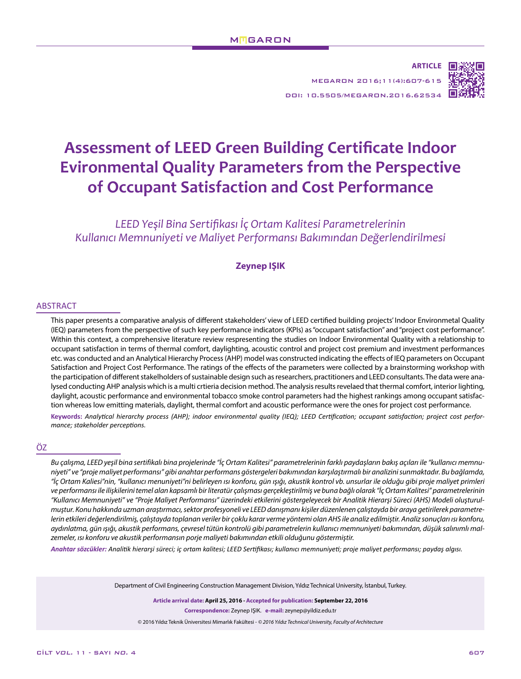**ARTICLE** MEGARON 2016;11(4):607-615



DOI: 10.5505/MEGARON.2016.62534

# **Assessment of LEED Green Building Certificate Indoor Evironmental Quality Parameters from the Perspective of Occupant Satisfaction and Cost Performance**

*LEED Yeşil Bina Sertifikası İç Ortam Kalitesi Parametrelerinin Kullanıcı Memnuniyeti ve Maliyet Performansı Bakımından Değerlendirilmesi*

## **Zeynep IŞIK**

#### ABSTRACT

This paper presents a comparative analysis of different stakeholders' view of LEED certified building projects' Indoor Environmetal Quality (IEQ) parameters from the perspective of such key performance indicators (KPIs) as "occupant satisfaction" and "project cost performance". Within this context, a comprehensive literature review respresenting the studies on Indoor Environmental Quality with a relationship to occupant satisfaction in terms of thermal comfort, daylighting, acoustic control and project cost premium and investment performances etc. was conducted and an Analytical Hierarchy Process (AHP) model was constructed indicating the effects of IEQ parameters on Occupant Satisfaction and Project Cost Performance. The ratings of the effects of the parameters were collected by a brainstorming workshop with the participation of different stakelholders of sustainable design such as researchers, practitioners and LEED consultants. The data were analysed conducting AHP analysis which is a multi crtieria decision method. The analysis results revelaed that thermal comfort, interior lighting, daylight, acoustic performance and environmental tobacco smoke control parameters had the highest rankings among occupant satisfaction whereas low emitting materials, daylight, thermal comfort and acoustic performance were the ones for project cost performance.

**Keywords:** *Analytical hierarchy process (AHP); indoor environmental quality (IEQ); LEED Certification; occupant satisfaction; project cost performance; stakeholder perceptions.*

#### ÖZ

*Bu çalışma, LEED yeşil bina sertifikalı bina projelerinde "İç Ortam Kalitesi" parametrelerinin farklı paydaşların bakış açıları ile "kullanıcı memnuniyeti" ve "proje maliyet performansı" gibi anahtar performans göstergeleri bakımından karşılaştırmalı bir analizini sunmaktadır. Bu bağlamda, "İç Ortam Kaliesi"nin, "kullanıcı menuniyeti"ni belirleyen ısı konforu, gün ışığı, akustik kontrol vb. unsurlar ile olduğu gibi proje maliyet primleri ve performansı ile ilişkilerini temel alan kapsamlı bir literatür çalışması gerçekleştirilmiş ve buna bağlı olarak "İç Ortam Kalitesi" parametrelerinin "Kullanıcı Memnuniyeti" ve "Proje Maliyet Performansı" üzerindeki etkilerini göstergeleyecek bir Analitik Hierarşi Süreci (AHS) Modeli oluşturulmuştur. Konu hakkında uzman araştırmacı, sektor profesyoneli ve LEED danışmanı kişiler düzenlenen çalıştayda bir araya getirilerek parametrelerin etkileri değerlendirilmiş, çalıştayda toplanan veriler bir çoklu karar verme yöntemi olan AHS ile analiz edilmiştir. Analiz sonuçları ısı konforu, aydınlatma, gün ışığı, akustik performans, çevresel tütün kontrolü gibi parametrelerin kullanıcı memnuniyeti bakımından, düşük salınımlı malzemeler, ısı konforu ve akustik performansın porje maliyeti bakımından etkili olduğunu göstermiştir.*

*Anahtar sözcükler: Analitik hierarşi süreci; iç ortam kalitesi; LEED Sertifikası; kullanıcı memnuniyeti; proje maliyet performansı; paydaş algısı.*

Department of Civil Engineering Construction Management Division, Yıldız Technical University, İstanbul, Turkey.

**Article arrival date: April 25, 2016** *-* **Accepted for publication: September 22, 2016 Correspondence:** Zeynep IŞIK. **e-mail:** zeynep@yildiz.edu.tr © 2016 Yıldız Teknik Üniversitesi Mimarlık Fakültesi - *© 2016 Yıldız Technical University, Faculty of Architecture*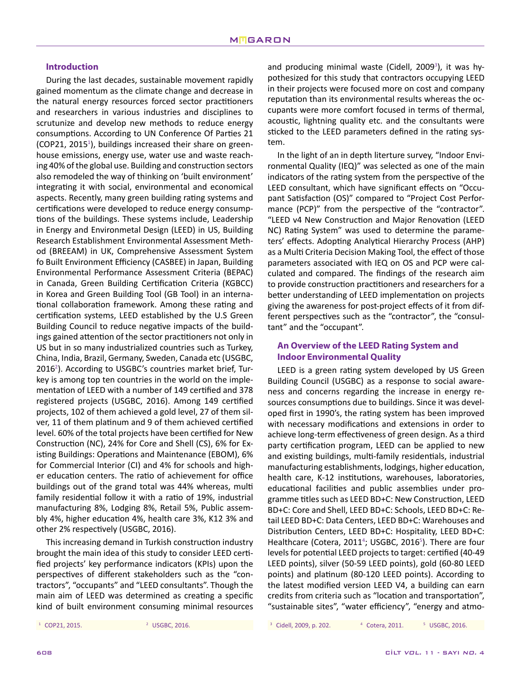## **Introduction**

During the last decades, sustainable movement rapidly gained momentum as the climate change and decrease in the natural energy resources forced sector practitioners and researchers in various industries and disciplines to scrutunize and develop new methods to reduce energy consumptions. According to UN Conference Of Parties 21 (COP21, 2015<sup>1</sup>), buildings increased their share on greenhouse emissions, energy use, water use and waste reaching 40% of the global use. Building and construction sectors also remodeled the way of thinking on 'built environment' integrating it with social, environmental and economical aspects. Recently, many green building rating systems and certifications were developed to reduce energy consumptions of the buildings. These systems include, Leadership in Energy and Environmetal Design (LEED) in US, Building Research Establishment Environmental Assessment Method (BREEAM) in UK, Comprehensive Assessment System fo Built Environment Efficiency (CASBEE) in Japan, Building Environmental Performance Assessment Criteria (BEPAC) in Canada, Green Building Certification Criteria (KGBCC) in Korea and Green Building Tool (GB Tool) in an international collaboration framework. Among these rating and certification systems, LEED established by the U.S Green Building Council to reduce negative impacts of the buildings gained attention of the sector practitioners not only in US but in so many industrialized countries such as Turkey, China, India, Brazil, Germany, Sweden, Canada etc (USGBC, 2016<sup>2</sup>). According to USGBC's countries market brief, Turkey is among top ten countries in the world on the implementation of LEED with a number of 149 certified and 378 registered projects (USGBC, 2016). Among 149 certified projects, 102 of them achieved a gold level, 27 of them silver, 11 of them platinum and 9 of them achieved certified level. 60% of the total projects have been certified for New Construction (NC), 24% for Core and Shell (CS), 6% for Existing Buildings: Operations and Maintenance (EBOM), 6% for Commercial Interior (CI) and 4% for schools and higher education centers. The ratio of achievement for office buildings out of the grand total was 44% whereas, multi family residential follow it with a ratio of 19%, industrial manufacturing 8%, Lodging 8%, Retail 5%, Public assembly 4%, higher education 4%, health care 3%, K12 3% and other 2% respectively (USGBC, 2016).

This increasing demand in Turkish construction industry brought the main idea of this study to consider LEED certified projects' key performance indicators (KPIs) upon the perspectives of different stakeholders such as the "contractors", "occupants" and "LEED consultants". Though the main aim of LEED was determined as creating a specific kind of built environment consuming minimal resources

and producing minimal waste (Cidell, 2009<sup>3</sup>), it was hypothesized for this study that contractors occupying LEED in their projects were focused more on cost and company reputation than its environmental results whereas the occupants were more comfort focused in terms of thermal, acoustic, lightning quality etc. and the consultants were sticked to the LEED parameters defined in the rating system.

In the light of an in depth literture survey, "Indoor Environmental Quality (IEQ)" was selected as one of the main indicators of the rating system from the perspective of the LEED consultant, which have significant effects on "Occupant Satisfaction (OS)" compared to "Project Cost Performance (PCP)" from the perspective of the "contractor". "LEED v4 New Construction and Major Renovation (LEED NC) Rating System" was used to determine the parameters' effects. Adopting Analytical Hierarchy Process (AHP) as a Multi Criteria Decision Making Tool, the effect of those parameters associated with IEQ on OS and PCP were calculated and compared. The findings of the research aim to provide construction practitioners and researchers for a better understanding of LEED implementation on projects giving the awareness for post-project effects of it from different perspectives such as the "contractor", the "consultant" and the "occupant".

# **An Overview of the LEED Rating System and Indoor Environmental Quality**

LEED is a green rating system developed by US Green Building Council (USGBC) as a response to social awareness and concerns regarding the increase in energy resources consumptions due to buildings. Since it was developed first in 1990's, the rating system has been improved with necessary modifications and extensions in order to achieve long-term effectiveness of green design. As a third party certification program, LEED can be applied to new and existing buildings, multi-family residentials, industrial manufacturing establishments, lodgings, higher education, health care, K-12 institutions, warehouses, laboratories, educational facilities and public assemblies under programme titles such as LEED BD+C: New Construction, LEED BD+C: Core and Shell, LEED BD+C: Schools, LEED BD+C: Retail LEED BD+C: Data Centers, LEED BD+C: Warehouses and Distribution Centers, LEED BD+C: Hospitality, LEED BD+C: Healthcare (Cotera, 2011<sup>4</sup>; USGBC, 2016<sup>5</sup>). There are four levels for potential LEED projects to target: certified (40-49 LEED points), silver (50-59 LEED points), gold (60-80 LEED points) and platinum (80-120 LEED points). According to the latest modified version LEED V4, a building can earn credits from criteria such as "location and transportation", "sustainable sites", "water efficiency", "energy and atmo-

<sup>1</sup> COP21, 2015. <sup>3</sup> Cidell, 2009, p. 202. <sup>2</sup> USGBC, 2016. <sup>4</sup> Cotera, 2011. <sup>5</sup> USGBC, 2016.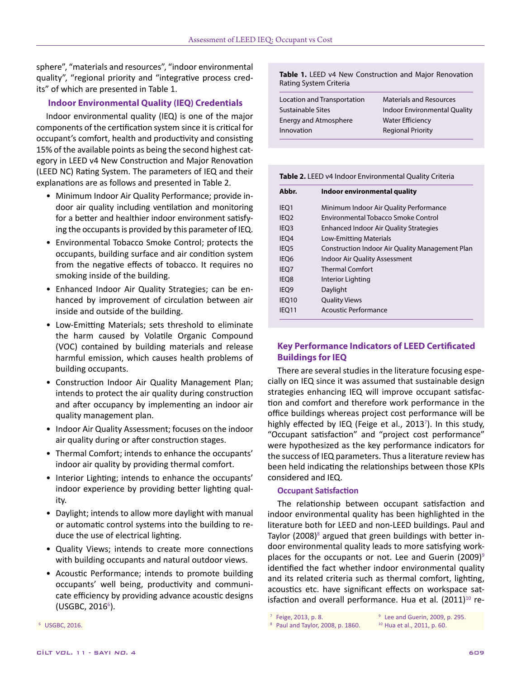sphere", "materials and resources", "indoor environmental quality", "regional priority and "integrative process credits" of which are presented in Table 1.

## **Indoor Environmental Quality (IEQ) Credentials**

Indoor environmental quality (IEQ) is one of the major components of the certification system since it is critical for occupant's comfort, health and productivity and consisting 15% of the available points as being the second highest category in LEED v4 New Construction and Major Renovation (LEED NC) Rating System. The parameters of IEQ and their explanations are as follows and presented in Table 2.

- Minimum Indoor Air Quality Performance; provide indoor air quality including ventilation and monitoring for a better and healthier indoor environment satisfying the occupants is provided by this parameter of IEQ.
- Environmental Tobacco Smoke Control; protects the occupants, building surface and air condition system from the negative effects of tobacco. It requires no smoking inside of the building.
- Enhanced Indoor Air Quality Strategies; can be enhanced by improvement of circulation between air inside and outside of the building.
- Low-Emitting Materials; sets threshold to eliminate the harm caused by Volatile Organic Compound (VOC) contained by building materials and release harmful emission, which causes health problems of building occupants.
- Construction Indoor Air Quality Management Plan; intends to protect the air quality during construction and after occupancy by implementing an indoor air quality management plan.
- Indoor Air Quality Assessment; focuses on the indoor air quality during or after construction stages.
- Thermal Comfort; intends to enhance the occupants' indoor air quality by providing thermal comfort.
- Interior Lighting; intends to enhance the occupants' indoor experience by providing better lighting quality.
- Daylight; intends to allow more daylight with manual or automatic control systems into the building to reduce the use of electrical lighting.
- Quality Views; intends to create more connections with building occupants and natural outdoor views.
- Acoustic Performance; intends to promote building occupants' well being, productivity and communicate efficiency by providing advance acoustic designs (USGBC, 2016<sup>6</sup>).

**Table 1.** LEED v4 New Construction and Major Renovation Rating System Criteria

| <b>Indoor Environmental Quality</b> |
|-------------------------------------|
|                                     |
|                                     |
|                                     |

| Table 2. LEED v4 Indoor Environmental Quality Criteria |  |  |
|--------------------------------------------------------|--|--|

| Abbr.            | Indoor environmental quality                    |
|------------------|-------------------------------------------------|
| IEQ1             | Minimum Indoor Air Quality Performance          |
| IEQ <sub>2</sub> | Environmental Tobacco Smoke Control             |
| IEQ <sub>3</sub> | <b>Enhanced Indoor Air Quality Strategies</b>   |
| IEO <sub>4</sub> | Low-Emitting Materials                          |
| IEO <sub>5</sub> | Construction Indoor Air Quality Management Plan |
| IEO <sub>6</sub> | <b>Indoor Air Quality Assessment</b>            |
| IEO <sub>7</sub> | <b>Thermal Comfort</b>                          |
| IEQ8             | Interior Lighting                               |
| IEQ9             | Daylight                                        |
| IEQ10            | <b>Quality Views</b>                            |
| IEQ11            | Acoustic Performance                            |

# **Key Performance Indicators of LEED Certificated Buildings for IEQ**

There are several studies in the literature focusing especially on IEQ since it was assumed that sustainable design strategies enhancing IEQ will improve occupant satisfaction and comfort and therefore work performance in the office buildings whereas project cost performance will be highly effected by IEQ (Feige et al., 2013<sup>7</sup>). In this study, "Occupant satisfaction" and "project cost performance" were hypothesized as the key performance indicators for the success of IEQ parameters. Thus a literature review has been held indicating the relationships between those KPIs considered and IEQ.

#### **Occupant Satisfaction**

The relationship between occupant satisfaction and indoor environmental quality has been highlighted in the literature both for LEED and non-LEED buildings. Paul and Taylor (2008) $8$  argued that green buildings with better indoor environmental quality leads to more satisfying workplaces for the occupants or not. Lee and Guerin (2009) $9$ identified the fact whether indoor environmental quality and its related criteria such as thermal comfort, lighting, acoustics etc. have significant effects on workspace satisfaction and overall performance. Hua et al.  $(2011)^{10}$  re-

```
7 Feige, 2013, p. 8.
```
<sup>9</sup> Lee and Guerin, 2009, p. 295.

<sup>6</sup> USGBC, 2016.

<sup>&</sup>lt;sup>8</sup> Paul and Taylor, 2008, p. 1860. <sup>10</sup> Hua et al., 2011, p. 60.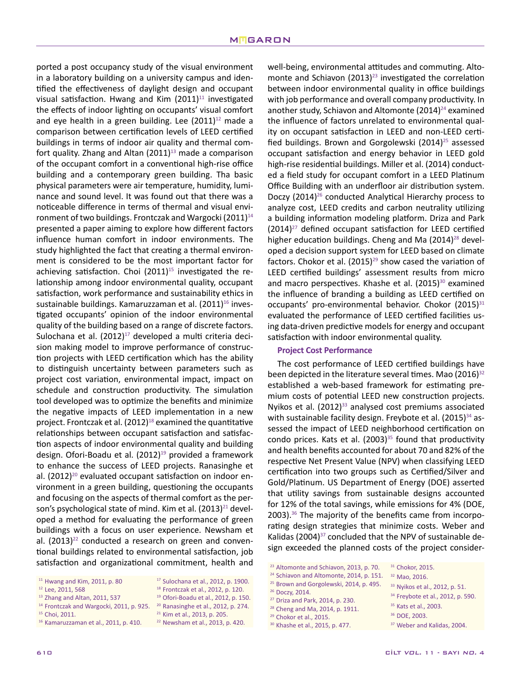ported a post occupancy study of the visual environment in a laboratory building on a university campus and identified the effectiveness of daylight design and occupant visual satisfaction. Hwang and Kim  $(2011)^{11}$  investigated the effects of indoor lighting on occupants' visual comfort and eye health in a green building. Lee  $(2011)^{12}$  made a comparison between certification levels of LEED certified buildings in terms of indoor air quality and thermal comfort quality. Zhang and Altan  $(2011)^{13}$  made a comparison of the occupant comfort in a conventional high-rise office building and a contemporary green building. Tha basic physical parameters were air temperature, humidity, luminance and sound level. It was found out that there was a noticeable difference in terms of thermal and visual environment of two buildings. Frontczak and Wargocki (2011) $14$ presented a paper aiming to explore how different factors influence human comfort in indoor environments. The study highlighted the fact that creating a thermal environment is considered to be the most important factor for achieving satisfaction. Choi  $(2011)^{15}$  investigated the relationship among indoor environmental quality, occupant satisfaction, work performance and sustainability ethics in sustainable buildings. Kamaruzzaman et al.  $(2011)^{16}$  investigated occupants' opinion of the indoor environmental quality of the building based on a range of discrete factors. Sulochana et al.  $(2012)^{17}$  developed a multi criteria decision making model to improve performance of construction projects with LEED certification which has the ability to distinguish uncertainty between parameters such as project cost variation, environmental impact, impact on schedule and construction productivity. The simulation tool developed was to optimize the benefits and minimize the negative impacts of LEED implementation in a new project. Frontczak et al.  $(2012)^{18}$  examined the quantitative relationships between occupant satisfaction and satisfaction aspects of indoor environmental quality and building design. Ofori-Boadu et al.  $(2012)^{19}$  provided a framework to enhance the success of LEED projects. Ranasinghe et al.  $(2012)^{20}$  evaluated occupant satisfaction on indoor environment in a green building, questioning the occupants and focusing on the aspects of thermal comfort as the person's psychological state of mind. Kim et al.  $(2013)^{21}$  developed a method for evaluating the performance of green buildings with a focus on user experience. Newsham et al.  $(2013)^{22}$  conducted a research on green and conventional buildings related to environmental satisfaction, job satisfaction and organizational commitment, health and

- <sup>13</sup> Zhang and Altan, 2011, 537
- <sup>14</sup> Frontczak and Wargocki, 2011, p. 925.
- <sup>15</sup> Choi, 2011.
- <sup>16</sup> Kamaruzzaman et al., 2011, p. 410.
- <sup>17</sup> Sulochana et al., 2012, p. 1900. <sup>18</sup> Frontczak et al., 2012, p. 120.
- <sup>19</sup> Ofori-Boadu et al., 2012, p. 150.
- <sup>20</sup> Ranasinghe et al., 2012, p. 274.
	- <sup>21</sup> Kim et al., 2013, p. 205.
		- <sup>22</sup> Newsham et al., 2013, p. 420.

well-being, environmental attitudes and commuting. Altomonte and Schiavon  $(2013)^{23}$  investigated the correlation between indoor environmental quality in office buildings with job performance and overall company productivity. In another study, Schiavon and Altomonte  $(2014)^{24}$  examined the influence of factors unrelated to environmental quality on occupant satisfaction in LEED and non-LEED certified buildings. Brown and Gorgolewski  $(2014)^{25}$  assessed occupant satisfaction and energy behavior in LEED gold high-rise residential buildings. Miller et al. (2014) conducted a field study for occupant comfort in a LEED Platinum Office Building with an underfloor air distribution system. Doczy (2014)<sup>26</sup> conducted Analytical Hierarchy process to analyze cost, LEED credits and carbon neutrality utilizing a building information modeling platform. Driza and Park  $(2014)^{27}$  defined occupant satisfaction for LEED certified higher education buildings. Cheng and Ma  $(2014)^{28}$  developed a decision support system for LEED based on climate factors. Chokor et al.  $(2015)^{29}$  show cased the variation of LEED certified buildings' assessment results from micro and macro perspectives. Khashe et al. (2015)<sup>30</sup> examined the influence of branding a building as LEED certified on occupants' pro-environmental behavior. Chokor  $(2015)^{31}$ evaluated the performance of LEED certified facilities using data-driven predictive models for energy and occupant satisfaction with indoor environmental quality.

#### **Project Cost Performance**

The cost performance of LEED certified buildings have been depicted in the literature several times. Mao  $(2016)^{32}$ established a web-based framework for estimating premium costs of potential LEED new construction projects. Nyikos et al.  $(2012)^{33}$  analysed cost premiums associated with sustainable facility design. Freybote et al.  $(2015)^{34}$  assessed the impact of LEED neighborhood certification on condo prices. Kats et al.  $(2003)^{35}$  found that productivity and health benefits accounted for about 70 and 82% of the respective Net Present Value (NPV) when classifying LEED certification into two groups such as Certified/Silver and Gold/Platinum. US Department of Energy (DOE) asserted that utility savings from sustainable designs accounted for 12% of the total savings, while emissions for 4% (DOE,  $2003$ ).<sup>36</sup> The majority of the benefits came from incorporating design strategies that minimize costs. Weber and Kalidas (2004)<sup>37</sup> concluded that the NPV of sustainable design exceeded the planned costs of the project consider-

- <sup>26</sup> Doczy, 2014.
- <sup>27</sup> Driza and Park, 2014, p. 230.
- <sup>28</sup> Cheng and Ma, 2014, p. 1911.
- <sup>29</sup> Chokor et al., 2015. <sup>30</sup> Khashe et al., 2015, p. 477.
- <sup>32</sup> Mao, 2016.
	- <sup>33</sup> Nyikos et al., 2012, p. 51.
	- <sup>34</sup> Freybote et al., 2012, p. 590.
	- <sup>35</sup> Kats et al., 2003.
	- <sup>36</sup> DOE, 2003.

<sup>11</sup> Hwang and Kim, 2011, p. 80

<sup>&</sup>lt;sup>12</sup> Lee, 2011, 568

<sup>&</sup>lt;sup>23</sup> Altomonte and Schiavon, 2013, p. 70. <sup>31</sup> Chokor, 2015.

<sup>&</sup>lt;sup>24</sup> Schiavon and Altomonte, 2014, p. 151.

<sup>&</sup>lt;sup>25</sup> Brown and Gorgolewski, 2014, p. 495.

<sup>&</sup>lt;sup>37</sup> Weber and Kalidas, 2004.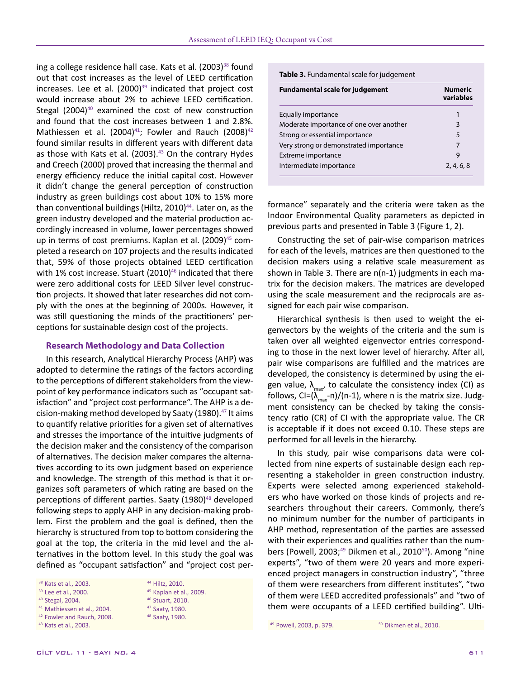ing a college residence hall case. Kats et al. (2003)<sup>38</sup> found out that cost increases as the level of LEED certification increases. Lee et al.  $(2000)^{39}$  indicated that project cost would increase about 2% to achieve LEED certification. Stegal  $(2004)^{40}$  examined the cost of new construction and found that the cost increases between 1 and 2.8%. Mathiessen et al.  $(2004)^{41}$ ; Fowler and Rauch  $(2008)^{42}$ found similar results in different years with different data as those with Kats et al. (2003). $43$  On the contrary Hydes and Creech (2000) proved that increasing the thermal and energy efficiency reduce the initial capital cost. However it didn't change the general perception of construction industry as green buildings cost about 10% to 15% more than conventional buildings (Hiltz,  $2010$ )<sup>44</sup>. Later on, as the green industry developed and the material production accordingly increased in volume, lower percentages showed up in terms of cost premiums. Kaplan et al. (2009)<sup>45</sup> completed a research on 107 projects and the results indicated that, 59% of those projects obtained LEED certification with 1% cost increase. Stuart (2010) $46$  indicated that there were zero additional costs for LEED Silver level construction projects. It showed that later researches did not comply with the ones at the beginning of 2000s. However, it was still questioning the minds of the practitioners' perceptions for sustainable design cost of the projects.

## **Research Methodology and Data Collection**

In this research, Analytical Hierarchy Process (AHP) was adopted to determine the ratings of the factors according to the perceptions of different stakeholders from the viewpoint of key performance indicators such as "occupant satisfaction" and "project cost performance". The AHP is a decision-making method developed by Saaty (1980). $47$  It aims to quantify relative priorities for a given set of alternatives and stresses the importance of the intuitive judgments of the decision maker and the consistency of the comparison of alternatives. The decision maker compares the alternatives according to its own judgment based on experience and knowledge. The strength of this method is that it organizes soft parameters of which rating are based on the perceptions of different parties. Saaty (1980)<sup>48</sup> developed following steps to apply AHP in any decision-making problem. First the problem and the goal is defined, then the hierarchy is structured from top to bottom considering the goal at the top, the criteria in the mid level and the alternatives in the bottom level. In this study the goal was defined as "occupant satisfaction" and "project cost per-

| <sup>38</sup> Kats et al., 2003. |  |  |
|----------------------------------|--|--|
|                                  |  |  |

- <sup>39</sup> Lee et al., 2000.
- <sup>40</sup> Stegal, 2004.
- <sup>41</sup> Mathiessen et al., 2004.
- <sup>42</sup> Fowler and Rauch, 2008. <sup>43</sup> Kats et al., 2003.

 Hiltz, 2010. Kaplan et al., 2009. Stuart, 2010. Saaty, 1980. Saaty, 1980.

**Table 3.** Fundamental scale for judgement

| <b>Fundamental scale for judgement</b>  | Numeric<br>variables |  |
|-----------------------------------------|----------------------|--|
| Equally importance                      |                      |  |
| Moderate importance of one over another | 3                    |  |
| Strong or essential importance          | 5                    |  |
| Very strong or demonstrated importance  |                      |  |
| Extreme importance                      | q                    |  |
| Intermediate importance                 | 2, 4, 6, 8           |  |

formance" separately and the criteria were taken as the Indoor Environmental Quality parameters as depicted in previous parts and presented in Table 3 (Figure 1, 2).

Constructing the set of pair-wise comparison matrices for each of the levels, matrices are then questioned to the decision makers using a relative scale measurement as shown in Table 3. There are n(n-1) judgments in each matrix for the decision makers. The matrices are developed using the scale measurement and the reciprocals are assigned for each pair wise comparison.

Hierarchical synthesis is then used to weight the eigenvectors by the weights of the criteria and the sum is taken over all weighted eigenvector entries corresponding to those in the next lower level of hierarchy. After all, pair wise comparisons are fulfilled and the matrices are developed, the consistency is determined by using the eigen value,  $\lambda_{\text{max}}$ , to calculate the consistency index (CI) as follows, CI=( $\lambda_{\text{max}}$ -n)/(n-1), where n is the matrix size. Judgment consistency can be checked by taking the consistency ratio (CR) of CI with the appropriate value. The CR is acceptable if it does not exceed 0.10. These steps are performed for all levels in the hierarchy.

In this study, pair wise comparisons data were collected from nine experts of sustainable design each representing a stakeholder in green construction industry. Experts were selected among experienced stakeholders who have worked on those kinds of projects and researchers throughout their careers. Commonly, there's no minimum number for the number of participants in AHP method, representation of the parties are assessed with their experiences and qualities rather than the numbers (Powell, 2003;<sup>49</sup> Dikmen et al., 2010<sup>50</sup>). Among "nine experts", "two of them were 20 years and more experienced project managers in construction industry", "three of them were researchers from different institutes", "two of them were LEED accredited professionals" and "two of them were occupants of a LEED certified building". Ulti-

<sup>49</sup> Powell, 2003, p. 379.  $50$  Dikmen et al., 2010.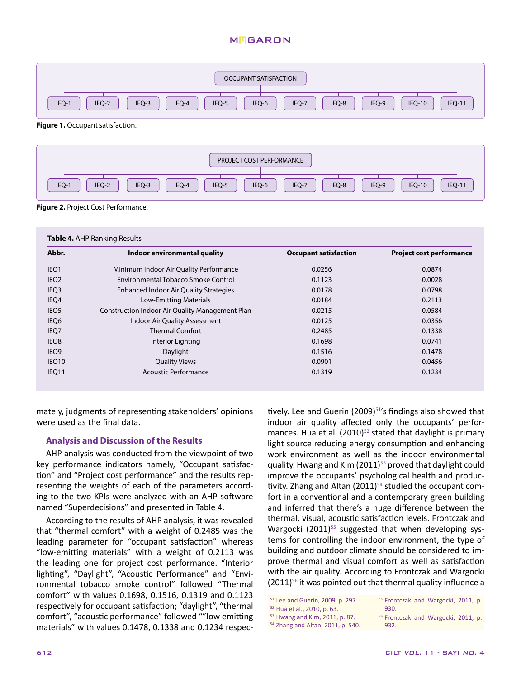# **MIGARON**



**Figure 1.** Occupant satisfaction.



**Figure 2.** Project Cost Performance.

| Abbr.            | Indoor environmental quality                    | <b>Occupant satisfaction</b> | <b>Project cost performance</b> |
|------------------|-------------------------------------------------|------------------------------|---------------------------------|
| IEQ1             | Minimum Indoor Air Quality Performance          | 0.0256                       | 0.0874                          |
| IEQ <sub>2</sub> | Environmental Tobacco Smoke Control             | 0.1123                       | 0.0028                          |
| IEQ <sub>3</sub> | <b>Enhanced Indoor Air Quality Strategies</b>   | 0.0178                       | 0.0798                          |
| IEQ4             | Low-Emitting Materials                          | 0.0184                       | 0.2113                          |
| IEQ <sub>5</sub> | Construction Indoor Air Quality Management Plan | 0.0215                       | 0.0584                          |
| IEQ <sub>6</sub> | Indoor Air Quality Assessment                   | 0.0125                       | 0.0356                          |
| IEQ7             | <b>Thermal Comfort</b>                          | 0.2485                       | 0.1338                          |
| IEQ8             | Interior Lighting                               | 0.1698                       | 0.0741                          |
| IEQ9             | Daylight                                        | 0.1516                       | 0.1478                          |
| IEQ10            | <b>Quality Views</b>                            | 0.0901                       | 0.0456                          |
| IEQ11            | <b>Acoustic Performance</b>                     | 0.1319                       | 0.1234                          |

mately, judgments of representing stakeholders' opinions were used as the final data.

## **Analysis and Discussion of the Results**

AHP analysis was conducted from the viewpoint of two key performance indicators namely, "Occupant satisfaction" and "Project cost performance" and the results representing the weights of each of the parameters according to the two KPIs were analyzed with an AHP software named "Superdecisions" and presented in Table 4.

According to the results of AHP analysis, it was revealed that "thermal comfort" with a weight of 0.2485 was the leading parameter for "occupant satisfaction" whereas "low-emitting materials" with a weight of 0.2113 was the leading one for project cost performance. "Interior lighting", "Daylight", "Acoustic Performance" and "Environmental tobacco smoke control" followed "Thermal comfort" with values 0.1698, 0.1516, 0.1319 and 0.1123 respectively for occupant satisfaction; "daylight", "thermal comfort", "acoustic performance" followed ""low emitting materials" with values 0.1478, 0.1338 and 0.1234 respectively. Lee and Guerin (2009)<sup>51'</sup>s findings also showed that indoor air quality affected only the occupants' performances. Hua et al.  $(2010)^{52}$  stated that daylight is primary light source reducing energy consumption and enhancing work environment as well as the indoor environmental quality. Hwang and Kim  $(2011)^{53}$  proved that daylight could improve the occupants' psychological health and productivity. Zhang and Altan  $(2011)^{54}$  studied the occupant comfort in a conventional and a contemporary green building and inferred that there's a huge difference between the thermal, visual, acoustic satisfaction levels. Frontczak and Wargocki  $(2011)^{55}$  suggested that when developing systems for controlling the indoor environment, the type of building and outdoor climate should be considered to improve thermal and visual comfort as well as satisfaction with the air quality. According to Frontczak and Wargocki  $(2011)^{56}$  it was pointed out that thermal quality influence a

<sup>51</sup> Lee and Guerin, 2009, p. 297. <sup>52</sup> Hua et al., 2010, p. 63.

<sup>53</sup> Hwang and Kim, 2011, p. 87.

<sup>54</sup> Zhang and Altan, 2011, p. 540.

<sup>56</sup> Frontczak and Wargocki, 2011, p. 932.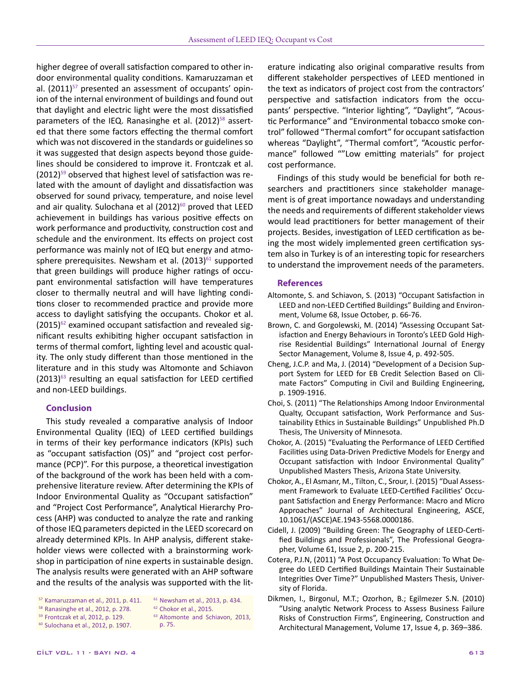higher degree of overall satisfaction compared to other indoor environmental quality conditions. Kamaruzzaman et al.  $(2011)^{57}$  presented an assessment of occupants' opinion of the internal environment of buildings and found out that daylight and electric light were the most dissatisfied parameters of the IEQ. Ranasinghe et al.  $(2012)^{58}$  asserted that there some factors effecting the thermal comfort which was not discovered in the standards or guidelines so it was suggested that design aspects beyond those guidelines should be considered to improve it. Frontczak et al.  $(2012)^{59}$  observed that highest level of satisfaction was related with the amount of daylight and dissatisfaction was observed for sound privacy, temperature, and noise level and air quality. Sulochana et al  $(2012)^{60}$  proved that LEED achievement in buildings has various positive effects on work performance and productivity, construction cost and schedule and the environment. Its effects on project cost performance was mainly not of IEQ but energy and atmosphere prerequisites. Newsham et al.  $(2013)^{61}$  supported that green buildings will produce higher ratings of occupant environmental satisfaction will have temperatures closer to thermally neutral and will have lighting conditions closer to recommended practice and provide more access to daylight satisfying the occupants. Chokor et al.  $(2015)^{62}$  examined occupant satisfaction and revealed significant results exhibiting higher occupant satisfaction in terms of thermal comfort, lighting level and acoustic quality. The only study different than those mentioned in the literature and in this study was Altomonte and Schiavon  $(2013)^{63}$  resulting an equal satisfaction for LEED certified and non-LEED buildings.

### **Conclusion**

This study revealed a comparative analysis of Indoor Environmental Quality (IEQ) of LEED certified buildings in terms of their key performance indicators (KPIs) such as "occupant satisfaction (OS)" and "project cost performance (PCP)". For this purpose, a theoretical investigation of the background of the work has been held with a comprehensive literature review. After determining the KPIs of Indoor Environmental Quality as "Occupant satisfaction" and "Project Cost Performance", Analytical Hierarchy Process (AHP) was conducted to analyze the rate and ranking of those IEQ parameters depicted in the LEED scorecard on already determined KPIs. In AHP analysis, different stakeholder views were collected with a brainstorming workshop in participation of nine experts in sustainable design. The analysis results were generated with an AHP software and the results of the analysis was supported with the lit-

- <sup>57</sup> Kamaruzzaman et al., 2011, p. 411. <sup>61</sup> Newsham et al., 2013, p. 434.
	- <sup>62</sup> Chokor et al., 2015.
- <sup>58</sup> Ranasinghe et al., 2012, p. 278. <sup>59</sup> Frontczak et al, 2012, p. 129.
	-
- <sup>60</sup> Sulochana et al., 2012, p. 1907.
- <sup>63</sup> Altomonte and Schiavon, 2013,
- p. 75.

erature indicating also original comparative results from different stakeholder perspectives of LEED mentioned in the text as indicators of project cost from the contractors' perspective and satisfaction indicators from the occupants' perspective. "Interior lighting", "Daylight", "Acoustic Performance" and "Environmental tobacco smoke control" followed "Thermal comfort" for occupant satisfaction whereas "Daylight", "Thermal comfort", "Acoustic performance" followed ""Low emitting materials" for project cost performance.

Findings of this study would be beneficial for both researchers and practitioners since stakeholder management is of great importance nowadays and understanding the needs and requirements of different stakeholder views would lead practitioners for better management of their projects. Besides, investigation of LEED certification as being the most widely implemented green certification system also in Turkey is of an interesting topic for researchers to understand the improvement needs of the parameters.

#### **References**

- Altomonte, S. and Schiavon, S. (2013) "Occupant Satisfaction in LEED and non-LEED Certified Buildings" Building and Environment, Volume 68, Issue October, p. 66-76.
- Brown, C. and Gorgolewski, M. (2014) "Assessing Occupant Satisfaction and Energy Behaviours in Toronto's LEED Gold Highrise Residential Buildings" International Journal of Energy Sector Management, Volume 8, Issue 4, p. 492-505.
- Cheng, J.C.P. and Ma, J. (2014) "Development of a Decision Support System for LEED for EB Credit Selection Based on Climate Factors" Computing in Civil and Building Engineering, p. 1909-1916.
- Choi, S. (2011) "The Relationships Among Indoor Environmental Qualty, Occupant satisfaction, Work Performance and Sustainability Ethics in Sustainable Buildings" Unpublished Ph.D Thesis, The University of Minnesota.
- Chokor, A. (2015) "Evaluating the Performance of LEED Certified Facilities using Data-Driven Predictive Models for Energy and Occupant satisfaction with Indoor Environmental Quality" Unpublished Masters Thesis, Arizona State University.
- Chokor, A., El Asmanr, M., Tilton, C., Srour, I. (2015) "Dual Assessment Framework to Evaluate LEED-Certified Facilities' Occupant Satisfaction and Energy Performance: Macro and Micro Approaches" Journal of Architectural Engineering, ASCE, 10.1061/(ASCE)AE.1943-5568.0000186.
- Cidell, J. (2009) "Building Green: The Geography of LEED-Certified Buildings and Professionals", The Professional Geographer, Volume 61, Issue 2, p. 200-215.
- Cotera, P.J.N, (2011) "A Post Occupancy Evaluation: To What Degree do LEED Certified Buildings Maintain Their Sustainable Integrities Over Time?" Unpublished Masters Thesis, University of Florida.
- Dikmen, I., Birgonul, M.T.; Ozorhon, B.; Egilmezer S.N. (2010) "Using analytic Network Process to Assess Business Failure Risks of Construction Firms", Engineering, Construction and Architectural Management, Volume 17, Issue 4, p. 369–386.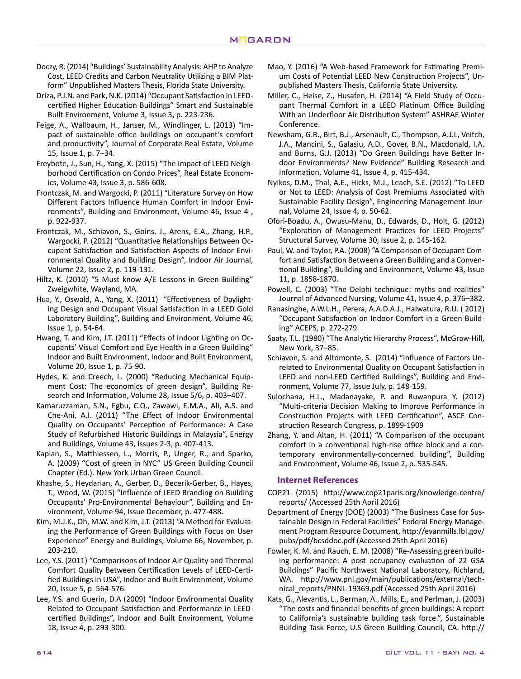- Doczy, R. (2014) "Buildings' Sustainability Analysis: AHP to Analyze Cost, LEED Credits and Carbon Neutrality Utilizing a BIM Platform" Unpublished Masters Thesis, Florida State University.
- Driza, P.J.N. and Park, N.K. (2014) "Occupant Satisfaction in LEEDcertified Higher Education Buildings" Smart and Sustainable Built Environment, Volume 3, Issue 3, p. 223-236.
- Feige, A., Wallbaum, H., Janser, M., Windlinger, L. (2013) "Impact of sustainable office buildings on occupant's comfort and productivity", Journal of Corporate Real Estate, Volume 15, Issue 1, p. 7–34.
- Freybote, J., Sun, H., Yang, X. (2015) "The Impact of LEED Neighborhood Certification on Condo Prices", Real Estate Economics, Volume 43, Issue 3, p. 586-608.
- Frontczak, M. and Wargocki, P. (2011) "Literature Survey on How Different Factors Influence Human Comfort in Indoor Environments", Building and Environment, Volume 46, Issue 4 , p. 922-937.
- Frontczak, M., Schiavon, S., Goins, J., Arens, E.A., Zhang, H.P., Wargocki, P. (2012) "Quantitative Relationships Between Occupant Satisfaction and Satisfaction Aspects of Indoor Environmental Quality and Building Design", Indoor Air Journal, Volume 22, Issue 2, p. 119-131.
- Hiltz, K. (2010) "5 Must know A/E Lessons in Green Building" Zweigwhite, Wayland, MA.
- Hua, Y., Oswald, A., Yang, X. (2011) "Effectiveness of Daylighting Design and Occupant Visual Satisfaction in a LEED Gold Laboratory Building", Building and Environment, Volume 46, Issue 1, p. 54-64.
- Hwang, T. and Kim, J.T. (2011) "Effects of Indoor Lighting on Occupants' Visual Comfort and Eye Health in a Green Building" Indoor and Built Environment, Indoor and Built Environment, Volume 20, Issue 1, p. 75-90.
- Hydes, K. and Creech, L. (2000) "Reducing Mechanical Equipment Cost: The economics of green design", Building Research and Information, Volume 28, Issue 5/6, p. 403–407.
- Kamaruzzaman, S.N., Egbu, C.O., Zawawi, E.M.A., Ali, A.S. and Che-Ani, A.I. (2011) "The Effect of Indoor Environmental Quality on Occupants' Perception of Performance: A Case Study of Refurbished Historic Buildings in Malaysia", Energy and Buildings, Volume 43, Issues 2-3, p. 407-413.
- Kaplan, S., Matthiessen, L., Morris, P., Unger, R., and Sparko, A. (2009) "Cost of green in NYC" US Green Building Council Chapter (Ed.). New York Urban Green Council.
- Khashe, S., Heydarian, A., Gerber, D., Becerik-Gerber, B., Hayes, T., Wood, W. (2015) "Influence of LEED Branding on Building Occupants' Pro-Environmental Behaviour", Building and Environment, Volume 94, Issue December, p. 477-488.
- Kim, M.J.K., Oh, M.W. and Kim, J.T. (2013) "A Method for Evaluating the Performance of Green Buildings with Focus on User Experience" Energy and Buildings, Volume 66, November, p. 203-210.
- Lee, Y.S. (2011) "Comparisons of Indoor Air Quality and Thermal Comfort Quality Between Certification Levels of LEED-Certified Buildings in USA", Indoor and Built Environment, Volume 20, Issue 5, p. 564-576.
- Lee, Y.S. and Guerin, D.A (2009) "Indoor Environmental Quality Related to Occupant Satisfaction and Performance in LEEDcertified Buildings", Indoor and Built Environment, Volume 18, Issue 4, p. 293-300.
- Mao, Y. (2016) "A Web-based Framework for Estimating Premium Costs of Potential LEED New Construction Projects", Unpublished Masters Thesis, California State University.
- Miller, C., Heise, Z., Husafen, H. (2014) "A Field Study of Occupant Thermal Comfort in a LEED Platinum Office Building With an Underfloor Air Distribution System" ASHRAE Winter Conference.
- Newsham, G.R., Birt, B.J., Arsenault, C., Thompson, A.J.L, Veitch, J.A., Mancini, S., Galasiu, A.D., Gover, B.N., Macdonald, I.A. and Burns, G.J. (2013) "Do Green Buildings have Better Indoor Environments? New Evidence" Building Research and Information, Volume 41, Issue 4, p. 415-434.
- Nyikos, D.M., Thal, A.E., Hicks, M.J., Leach, S.E. (2012) "To LEED or Not to LEED: Analysis of Cost Premiums Associated with Sustainable Facility Design", Engineering Management Journal, Volume 24, Issue 4, p. 50-62.
- Ofori-Boadu, A., Owusu-Manu, D., Edwards, D., Holt, G. (2012) "Exploration of Management Practices for LEED Projects" Structural Survey, Volume 30, Issue 2, p. 145-162.
- Paul, W. and Taylor, P.A. (2008) "A Comparison of Occupant Comfort and Satisfaction Between a Green Building and a Conventional Building", Building and Environment, Volume 43, Issue 11, p. 1858-1870.
- Powell, C. (2003) "The Delphi technique: myths and realities" Journal of Advanced Nursing, Volume 41, Issue 4, p. 376–382.
- Ranasinghe, A.W.L.H., Perera, A.A.D.A.J., Halwatura, R.U. ( 2012) "Occupant Satisfaction on Indoor Comfort in a Green Building" ACEPS, p. 272-279.
- Saaty, T.L. (1980) "The Analytic Hierarchy Process", McGraw-Hill, New York, 37–85.
- Schiavon, S. and Altomonte, S. (2014) "Influence of Factors Unrelated to Environmental Quality on Occupant Satisfaction in LEED and non-LEED Certified Buildings", Building and Environment, Volume 77, Issue July, p. 148-159.
- Sulochana, H.L., Madanayake, P. and Ruwanpura Y. (2012) "Multi-criteria Decision Making to Improve Performance in Construction Projects with LEED Certification", ASCE Construction Research Congress, p. 1899-1909
- Zhang, Y. and Altan, H. (2011) "A Comparison of the occupant comfort in a conventional high-rise office block and a contemporary environmentally-concerned building", Building and Environment, Volume 46, Issue 2, p. 535-545.

# **Internet References**

- COP21 (2015) http://www.cop21paris.org/knowledge-centre/ reports/ (Accessed 25th April 2016)
- Department of Energy (DOE) (2003) "The Business Case for Sustainable Design in Federal Facilities" Federal Energy Management Program Resource Document, http://evanmills.lbl.gov/ pubs/pdf/bcsddoc.pdf (Accessed 25th April 2016)
- Fowler, K. M. and Rauch, E. M. (2008) "Re-Assessing green building performance: A post occupancy evaluation of 22 GSA Buildings" Pacific Northwest National Laboratory, Richland, WA. http://www.pnl.gov/main/publications/external/technical\_reports/PNNL-19369.pdf (Accessed 25th April 2016)
- Kats, G., Alevantis, L., Berman, A., Mills, E., and Perlman, J. (2003) "The costs and financial benefits of green buildings: A report to California's sustainable building task force.", Sustainable Building Task Force, U.S Green Building Council, CA. http://